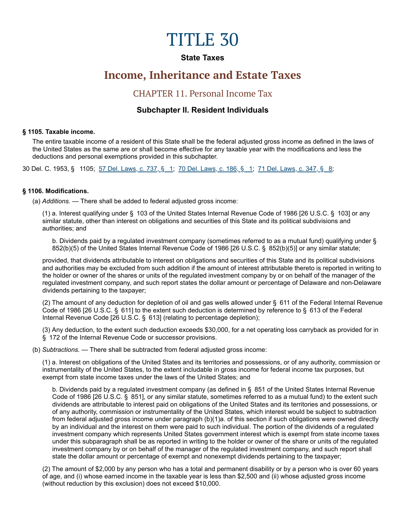# TITLE 30

## **State Taxes**

# **Income, Inheritance and Estate Taxes**

# CHAPTER 11. Personal Income Tax

## **Subchapter II. Resident Individuals**

#### **§ 1105. Taxable income.**

The entire taxable income of a resident of this State shall be the federal adjusted gross income as defined in the laws of the United States as the same are or shall become effective for any taxable year with the modifications and less the deductions and personal exemptions provided in this subchapter.

30 Del. C. 1953, § 1105; [57 Del. Laws, c. 737, § 1](https://legis.delaware.gov/SessionLaws?volume=57&chapter=737); [70 Del. Laws, c. 186, § 1](https://legis.delaware.gov/SessionLaws?volume=70&chapter=186); [71 Del. Laws, c. 347, § 8](https://legis.delaware.gov/SessionLaws?volume=71&chapter=347);

#### **§ 1106. Modifications.**

(a) *Additions. —* There shall be added to federal adjusted gross income:

(1) a. Interest qualifying under § 103 of the United States Internal Revenue Code of 1986 [26 U.S.C. § 103] or any similar statute, other than interest on obligations and securities of this State and its political subdivisions and authorities; and

b. Dividends paid by a regulated investment company (sometimes referred to as a mutual fund) qualifying under § 852(b)(5) of the United States Internal Revenue Code of 1986 [26 U.S.C. § 852(b)(5)] or any similar statute;

provided, that dividends attributable to interest on obligations and securities of this State and its political subdivisions and authorities may be excluded from such addition if the amount of interest attributable thereto is reported in writing to the holder or owner of the shares or units of the regulated investment company by or on behalf of the manager of the regulated investment company, and such report states the dollar amount or percentage of Delaware and non-Delaware dividends pertaining to the taxpayer;

(2) The amount of any deduction for depletion of oil and gas wells allowed under § 611 of the Federal Internal Revenue Code of 1986 [26 U.S.C. § 611] to the extent such deduction is determined by reference to § 613 of the Federal Internal Revenue Code [26 U.S.C. § 613] (relating to percentage depletion);

(3) Any deduction, to the extent such deduction exceeds \$30,000, for a net operating loss carryback as provided for in § 172 of the Internal Revenue Code or successor provisions.

(b) *Subtractions. —* There shall be subtracted from federal adjusted gross income:

(1) a. Interest on obligations of the United States and its territories and possessions, or of any authority, commission or instrumentality of the United States, to the extent includable in gross income for federal income tax purposes, but exempt from state income taxes under the laws of the United States; and

b. Dividends paid by a regulated investment company (as defined in § 851 of the United States Internal Revenue Code of 1986 [26 U.S.C. § 851], or any similar statute, sometimes referred to as a mutual fund) to the extent such dividends are attributable to interest paid on obligations of the United States and its territories and possessions, or of any authority, commission or instrumentality of the United States, which interest would be subject to subtraction from federal adjusted gross income under paragraph (b)(1)a. of this section if such obligations were owned directly by an individual and the interest on them were paid to such individual. The portion of the dividends of a regulated investment company which represents United States government interest which is exempt from state income taxes under this subparagraph shall be as reported in writing to the holder or owner of the share or units of the regulated investment company by or on behalf of the manager of the regulated investment company, and such report shall state the dollar amount or percentage of exempt and nonexempt dividends pertaining to the taxpayer;

(2) The amount of \$2,000 by any person who has a total and permanent disability or by a person who is over 60 years of age, and (i) whose earned income in the taxable year is less than \$2,500 and (ii) whose adjusted gross income (without reduction by this exclusion) does not exceed \$10,000.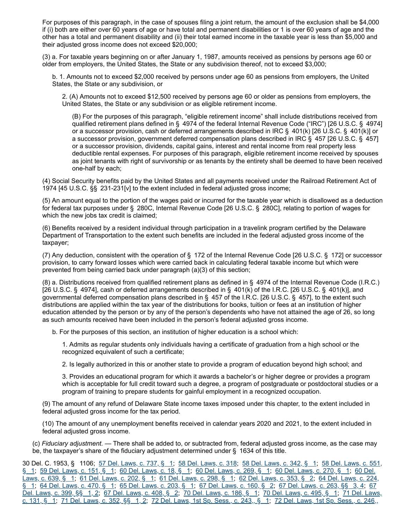For purposes of this paragraph, in the case of spouses filing a joint return, the amount of the exclusion shall be \$4,000 if (i) both are either over 60 years of age or have total and permanent disabilities or 1 is over 60 years of age and the other has a total and permanent disability and (ii) their total earned income in the taxable year is less than \$5,000 and their adjusted gross income does not exceed \$20,000;

(3) a. For taxable years beginning on or after January 1, 1987, amounts received as pensions by persons age 60 or older from employers, the United States, the State or any subdivision thereof, not to exceed \$3,000;

b. 1. Amounts not to exceed \$2,000 received by persons under age 60 as pensions from employers, the United States, the State or any subdivision, or

2. (A) Amounts not to exceed \$12,500 received by persons age 60 or older as pensions from employers, the United States, the State or any subdivision or as eligible retirement income.

(B) For the purposes of this paragraph, "eligible retirement income" shall include distributions received from qualified retirement plans defined in § 4974 of the federal Internal Revenue Code ("IRC") [26 U.S.C. § 4974] or a successor provision, cash or deferred arrangements described in IRC § 401(k) [26 U.S.C. § 401(k)] or a successor provision, government deferred compensation plans described in IRC § 457 [26 U.S.C. § 457] or a successor provision, dividends, capital gains, interest and rental income from real property less deductible rental expenses. For purposes of this paragraph, eligible retirement income received by spouses as joint tenants with right of survivorship or as tenants by the entirety shall be deemed to have been received one-half by each;

(4) Social Security benefits paid by the United States and all payments received under the Railroad Retirement Act of 1974 [45 U.S.C. §§ 231-231[v] to the extent included in federal adjusted gross income;

(5) An amount equal to the portion of the wages paid or incurred for the taxable year which is disallowed as a deduction for federal tax purposes under § 280C, Internal Revenue Code [26 U.S.C. § 280C], relating to portion of wages for which the new jobs tax credit is claimed;

(6) Benefits received by a resident individual through participation in a travelink program certified by the Delaware Department of Transportation to the extent such benefits are included in the federal adjusted gross income of the taxpayer;

(7) Any deduction, consistent with the operation of § 172 of the Internal Revenue Code [26 U.S.C. § 172] or successor provision, to carry forward losses which were carried back in calculating federal taxable income but which were prevented from being carried back under paragraph (a)(3) of this section;

(8) a. Distributions received from qualified retirement plans as defined in § 4974 of the Internal Revenue Code (I.R.C.) [26 U.S.C. § 4974], cash or deferred arrangements described in § 401(k) of the I.R.C. [26 U.S.C. § 401(k)], and governmental deferred compensation plans described in § 457 of the I.R.C. [26 U.S.C. § 457], to the extent such distributions are applied within the tax year of the distributions for books, tuition or fees at an institution of higher education attended by the person or by any of the person's dependents who have not attained the age of 26, so long as such amounts received have been included in the person's federal adjusted gross income.

b. For the purposes of this section, an institution of higher education is a school which:

1. Admits as regular students only individuals having a certificate of graduation from a high school or the recognized equivalent of such a certificate;

2. Is legally authorized in this or another state to provide a program of education beyond high school; and

3. Provides an educational program for which it awards a bachelor's or higher degree or provides a program which is acceptable for full credit toward such a degree, a program of postgraduate or postdoctoral studies or a program of training to prepare students for gainful employment in a recognized occupation.

(9) The amount of any refund of Delaware State income taxes imposed under this chapter, to the extent included in federal adjusted gross income for the tax period.

(10) The amount of any unemployment benefits received in calendar years 2020 and 2021, to the extent included in federal adjusted gross income.

(c) *Fiduciary adjustment. —* There shall be added to, or subtracted from, federal adjusted gross income, as the case may be, the taxpayer's share of the fiduciary adjustment determined under § 1634 of this title.

30 Del. C. 1953, § 1106; <u>57 Del. Laws, c. 737, § 1; [58 Del. Laws, c. 318](https://legis.delaware.gov/SessionLaws?volume=58&chapter=318); [5](https://legis.delaware.gov/SessionLaws?volume=58&chapter=551)8 Del. Laws, c. 342, § [1;](https://legis.delaware.gov/SessionLaws?volume=58&chapter=551) 58 Del. Laws, c. 551,</u> § 1; [59 Del. Laws, c. 151, § 1;](https://legis.delaware.gov/SessionLaws?volume=59&chapter=151) [60 Del. Laws, c. 18, § 1;](https://legis.delaware.gov/SessionLaws?volume=60&chapter=18) [60 Del. Laws, c. 269, § 1;](https://legis.delaware.gov/SessionLaws?volume=60&chapter=269) [60 Del. Laws, c. 270, § 1;](https://legis.delaware.gov/SessionLaws?volume=60&chapter=270) 60 Del. Laws, c. 639, § 1; [61 Del. Laws, c. 202, § 1](https://legis.delaware.gov/SessionLaws?volume=61&chapter=202); [61 Del. Laws, c. 298, § 1;](https://legis.delaware.gov/SessionLaws?volume=61&chapter=298) [62 Del. Laws, c. 353, § 2;](https://legis.delaware.gov/SessionLaws?volume=60&chapter=639) 64 Del. Laws, c. 224, § 1; 64 Del. Laws, c. 470, § 1; 65 Del. Laws, c. 203, § 1; 67 Del. Laws, c. 160, § 2; 67 Del. Laws, c. 263, §§ 3, 4; 67 Del. Laws, c. 399, §§ 1, 2; 67 Del. Laws, c. 408, § 2; 70 Del. Laws, c. 186, § 1; 70 Del. Laws, c. 495, § 1; 71 Del. Laws, c. 131, § 1; [71 Del. Laws, c. 352, §§ 1, 2](https://legis.delaware.gov/SessionLaws?volume=71&chapter=352); [72 Del. Laws, 1st Sp. Sess., c. 243,, § 1;](https://legis.delaware.gov/SessionLaws?volume=71&chapter=131) 72 Del. Laws, 1st Sp. Sess., c. 246,,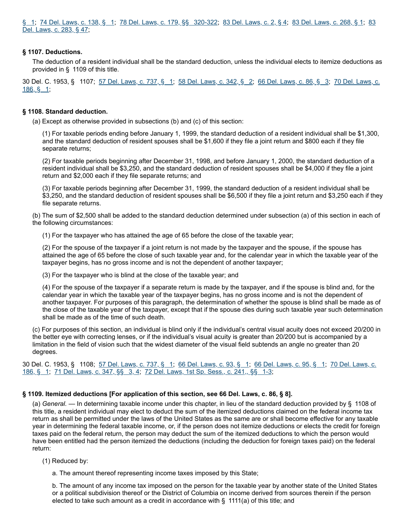§ 1; [74 Del. Laws, c. 138, § 1;](https://legis.delaware.gov/SessionLaws?volume=74&chapter=138) [78 Del. Laws, c. 179, §§ 320-322;](https://legis.delaware.gov/SessionLaws?volume=72&chapter=246) [83 Del. Laws, c. 2, § 4;](https://legis.delaware.gov/SessionLaws?volume=83&chapter=2) [83 Del. Laws, c. 268, § 1](https://legis.delaware.gov/SessionLaws?volume=83&chapter=268); 83 Del. Laws, c. 283, § 47;

#### **§ 1107. Deductions.**

The deduction of a resident individual shall be the standard deduction, unless the individual elects to itemize deductions as provided in § 1109 of this title.

30 Del. C. 1953, § 1107; [57 Del. Laws, c. 737, § 1](https://legis.delaware.gov/SessionLaws?volume=57&chapter=737); [5](https://legis.delaware.gov/SessionLaws?volume=70&chapter=186)[8 Del. Laws, c. 342, § 2](https://legis.delaware.gov/SessionLaws?volume=58&chapter=342)[;](https://legis.delaware.gov/SessionLaws?volume=70&chapter=186) [66 Del. Laws, c. 86, § 3](https://legis.delaware.gov/SessionLaws?volume=66&chapter=86); 70 Del. Laws, c. 186, § 1;

#### **§ 1108. Standard deduction.**

(a) Except as otherwise provided in subsections (b) and (c) of this section:

(1) For taxable periods ending before January 1, 1999, the standard deduction of a resident individual shall be \$1,300, and the standard deduction of resident spouses shall be \$1,600 if they file a joint return and \$800 each if they file separate returns;

(2) For taxable periods beginning after December 31, 1998, and before January 1, 2000, the standard deduction of a resident individual shall be \$3,250, and the standard deduction of resident spouses shall be \$4,000 if they file a joint return and \$2,000 each if they file separate returns; and

(3) For taxable periods beginning after December 31, 1999, the standard deduction of a resident individual shall be \$3,250, and the standard deduction of resident spouses shall be \$6,500 if they file a joint return and \$3,250 each if they file separate returns.

(b) The sum of \$2,500 shall be added to the standard deduction determined under subsection (a) of this section in each of the following circumstances:

(1) For the taxpayer who has attained the age of 65 before the close of the taxable year;

(2) For the spouse of the taxpayer if a joint return is not made by the taxpayer and the spouse, if the spouse has attained the age of 65 before the close of such taxable year and, for the calendar year in which the taxable year of the taxpayer begins, has no gross income and is not the dependent of another taxpayer;

(3) For the taxpayer who is blind at the close of the taxable year; and

(4) For the spouse of the taxpayer if a separate return is made by the taxpayer, and if the spouse is blind and, for the calendar year in which the taxable year of the taxpayer begins, has no gross income and is not the dependent of another taxpayer. For purposes of this paragraph, the determination of whether the spouse is blind shall be made as of the close of the taxable year of the taxpayer, except that if the spouse dies during such taxable year such determination shall be made as of the time of such death.

(c) For purposes of this section, an individual is blind only if the individual's central visual acuity does not exceed 20/200 in the better eye with correcting lenses, or if the individual's visual acuity is greater than 20/200 but is accompanied by a limitation in the field of vision such that the widest diameter of the visual field subtends an angle no greater than 20 degrees.

30 Del. C. 1953, § 1108; [57 Del. Laws, c. 737, § 1](https://legis.delaware.gov/SessionLaws?volume=57&chapter=737); [66 Del. Laws, c. 93, § 1](https://legis.delaware.gov/SessionLaws?volume=66&chapter=93); [66 Del. Laws, c. 95, § 1;](https://legis.delaware.gov/SessionLaws?volume=66&chapter=95) 70 Del. Laws, c. 186, § 1; [71 Del. Laws, c. 347, §§ 3, 4;](https://legis.delaware.gov/SessionLaws?volume=71&chapter=347) [72 Del. Laws, 1st Sp. Sess., c. 241,, §§ 1-3;](https://legis.delaware.gov/SessionLaws?volume=70&chapter=186)

#### **§ 1109. Itemized deductions [For application of this section, see 66 Del. Laws, c. 86, § 8].**

(a) *General. —* In determining taxable income under this chapter, in lieu of the standard deduction provided by § 1108 of this title, a resident individual may elect to deduct the sum of the itemized deductions claimed on the federal income tax return as shall be permitted under the laws of the United States as the same are or shall become effective for any taxable year in determining the federal taxable income, or, if the person does not itemize deductions or elects the credit for foreign taxes paid on the federal return, the person may deduct the sum of the itemized deductions to which the person would have been entitled had the person itemized the deductions (including the deduction for foreign taxes paid) on the federal return:

(1) Reduced by:

a. The amount thereof representing income taxes imposed by this State;

b. The amount of any income tax imposed on the person for the taxable year by another state of the United States or a political subdivision thereof or the District of Columbia on income derived from sources therein if the person elected to take such amount as a credit in accordance with  $\S$  1111(a) of this title; and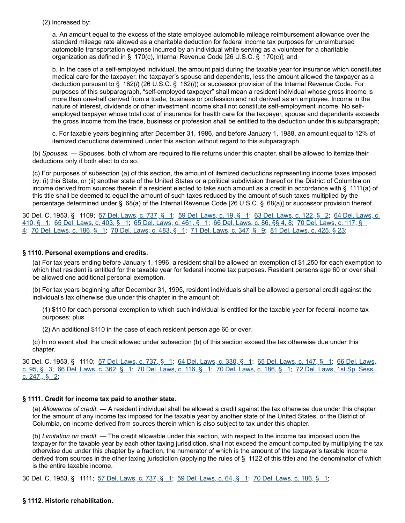(2) Increased by:

a. An amount equal to the excess of the state employee automobile mileage reimbursement allowance over the standard mileage rate allowed as a charitable deduction for federal income tax purposes for unreimbursed automobile transportation expense incurred by an individual while serving as a volunteer for a charitable organization as defined in § 170(c), Internal Revenue Code [26 U.S.C. § 170(c)]; and

b. In the case of a self-employed individual, the amount paid during the taxable year for insurance which constitutes medical care for the taxpayer, the taxpayer's spouse and dependents, less the amount allowed the taxpayer as a deduction pursuant to § 162(*l*) (26 U.S.C. § 162(*l*)) or successor provision of the Internal Revenue Code. For purposes of this subparagraph, "self-employed taxpayer" shall mean a resident individual whose gross income is more than one-half derived from a trade, business or profession and not derived as an employee. Income in the nature of interest, dividends or other investment income shall not constitute self-employment income. No selfemployed taxpayer whose total cost of insurance for health care for the taxpayer, spouse and dependents exceeds the gross income from the trade, business or profession shall be entitled to the deduction under this subparagraph;

c. For taxable years beginning after December 31, 1986, and before January 1, 1988, an amount equal to 12% of itemized deductions determined under this section without regard to this subparagraph.

(b) *Spouses. —* Spouses, both of whom are required to file returns under this chapter, shall be allowed to itemize their deductions only if both elect to do so.

(c) For purposes of subsection (a) of this section, the amount of itemized deductions representing income taxes imposed by: (i) this State, or (ii) another state of the United States or a political subdivision thereof or the District of Columbia on income derived from sources therein if a resident elected to take such amount as a credit in accordance with § 1111(a) of this title shall be deemed to equal the amount of such taxes reduced by the amount of such taxes multiplied by the percentage determined under § 68(a) of the Internal Revenue Code [26 U.S.C. § 68(a)] or successor provision thereof.

30 Del. C. 1953, § 1109; [57 Del. Laws, c. 737, § 1](https://legis.delaware.gov/SessionLaws?volume=57&chapter=737); [59 Del. Laws, c. 19, § 1](https://legis.delaware.gov/SessionLaws?volume=59&chapter=19); [63 Del. Laws, c. 122, § 2](https://legis.delaware.gov/SessionLaws?volume=63&chapter=122); 64 Del. Laws, c. 410, § 1; [65 Del. Laws, c. 403, § 1;](https://legis.delaware.gov/SessionLaws?volume=65&chapter=403) [65 Del. Laws, c. 461, § 1;](https://legis.delaware.gov/SessionLaws?volume=65&chapter=461) [66 Del. Laws, c. 86, §§ 4, 8;](https://legis.delaware.gov/SessionLaws?volume=64&chapter=410) 70 Del. Laws, c. 117, § 4; [70 Del. Laws, c. 186, § 1;](https://legis.delaware.gov/SessionLaws?volume=70&chapter=186) [70 Del. Laws, c. 483, § 1](https://legis.delaware.gov/SessionLaws?volume=70&chapter=483); [71 Del. Laws, c. 347, § 9](https://legis.delaware.gov/SessionLaws?volume=71&chapter=347); [81 Del. Laws, c. 425, § 23;](https://legis.delaware.gov/SessionLaws?volume=81&chapter=425)

#### **§ 1110. Personal exemptions and credits.**

(a) For tax years ending before January 1, 1996, a resident shall be allowed an exemption of \$1,250 for each exemption to which that resident is entitled for the taxable year for federal income tax purposes. Resident persons age 60 or over shall be allowed one additional personal exemption.

(b) For tax years beginning after December 31, 1995, resident individuals shall be allowed a personal credit against the individual's tax otherwise due under this chapter in the amount of:

(1) \$110 for each personal exemption to which such individual is entitled for the taxable year for federal income tax purposes; plus

(2) An additional \$110 in the case of each resident person age 60 or over.

(c) In no event shall the credit allowed under subsection (b) of this section exceed the tax otherwise due under this chapter.

30 Del. C. 1953, § 1110; [57 Del. Laws, c. 737, § 1;](https://legis.delaware.gov/SessionLaws?volume=57&chapter=737) [64 Del. Laws, c. 330, § 1;](https://legis.delaware.gov/SessionLaws?volume=64&chapter=330) [65 Del. Laws, c. 147, § 1;](https://legis.delaware.gov/SessionLaws?volume=65&chapter=147) 66 Del. Laws, c. 95, § 3; [66 Del. Laws, c. 362, § 1](https://legis.delaware.gov/SessionLaws?volume=66&chapter=362); [70 Del. Laws, c. 116, § 1](https://legis.delaware.gov/SessionLaws?volume=70&chapter=116); [70 Del. Laws, c. 186, § 1](https://legis.delaware.gov/SessionLaws?volume=70&chapter=186); [72 Del. Laws, 1st Sp. Sess.](https://legis.delaware.gov/SessionLaws?volume=66&chapter=95)[,](https://legis.delaware.gov/SessionLaws?volume=72&chapter=247) c. 247,, § 2;

#### **§ 1111. Credit for income tax paid to another state.**

(a) *Allowance of credit. —* A resident individual shall be allowed a credit against the tax otherwise due under this chapter for the amount of any income tax imposed for the taxable year by another state of the United States, or the District of Columbia, on income derived from sources therein which is also subject to tax under this chapter.

(b) *Limitation on credit. —* The credit allowable under this section, with respect to the income tax imposed upon the taxpayer for the taxable year by each other taxing jurisdiction, shall not exceed the amount computed by multiplying the tax otherwise due under this chapter by a fraction, the numerator of which is the amount of the taxpayer's taxable income derived from sources in the other taxing jurisdiction (applying the rules of § 1122 of this title) and the denominator of which is the entire taxable income.

30 Del. C. 1953, § 1111; [57 Del. Laws, c. 737, § 1](https://legis.delaware.gov/SessionLaws?volume=57&chapter=737); [59 Del. Laws, c. 64, § 1;](https://legis.delaware.gov/SessionLaws?volume=59&chapter=64) [70 Del. Laws, c. 186, § 1;](https://legis.delaware.gov/SessionLaws?volume=70&chapter=186)

#### **§ 1112. Historic rehabilitation.**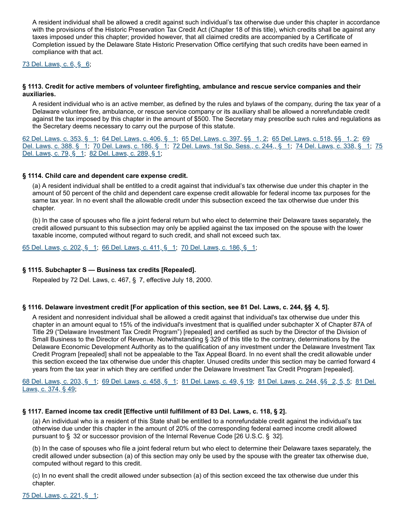A resident individual shall be allowed a credit against such individual's tax otherwise due under this chapter in accordance with the provisions of the Historic Preservation Tax Credit Act (Chapter 18 of this title), which credits shall be against any taxes imposed under this chapter; provided however, that all claimed credits are accompanied by a Certificate of Completion issued by the Delaware State Historic Preservation Office certifying that such credits have been earned in compliance with that act.

#### [73 Del. Laws, c. 6, § 6](https://legis.delaware.gov/SessionLaws?volume=73&chapter=6);

#### **§ 1113. Credit for active members of volunteer firefighting, ambulance and rescue service companies and their auxiliaries.**

A resident individual who is an active member, as defined by the rules and bylaws of the company, during the tax year of a Delaware volunteer fire, ambulance, or rescue service company or its auxiliary shall be allowed a nonrefundable credit against the tax imposed by this chapter in the amount of \$500. The Secretary may prescribe such rules and regulations as the Secretary deems necessary to carry out the purpose of this statute.

[62 Del. Laws, c. 353, § 1;](https://legis.delaware.gov/SessionLaws?volume=62&chapter=353) [64 Del. Laws, c. 406, § 1;](https://legis.delaware.gov/SessionLaws?volume=64&chapter=406) [65 Del. Laws, c. 397, §§ 1, 2](https://legis.delaware.gov/SessionLaws?volume=65&chapter=397); [65 Del. Laws, c. 518, §§ 1, 2](https://legis.delaware.gov/SessionLaws?volume=65&chapter=518); 69 Del. Laws, c. 388, § 1; 70 Del. Laws, c. 186, § 1; 72 Del. Laws, 1st Sp. Sess., c. 244,, § 1; 74 Del. Laws, c. 338, § 1; 75 Del. Laws, c. 79, § 1; [82 Del. Laws, c. 289, § 1;](https://legis.delaware.gov/SessionLaws?volume=82&chapter=289)

#### **§ 1114. Child care and dependent care expense credit.**

(a) A resident individual shall be entitled to a credit against that individual's tax otherwise due under this chapter in the amount of 50 percent of the child and dependent care expense credit allowable for federal income tax purposes for the same tax year. In no event shall the allowable credit under this subsection exceed the tax otherwise due under this chapter.

(b) In the case of spouses who file a joint federal return but who elect to determine their Delaware taxes separately, the credit allowed pursuant to this subsection may only be applied against the tax imposed on the spouse with the lower taxable income, computed without regard to such credit, and shall not exceed such tax.

[65 Del. Laws, c. 202, § 1;](https://legis.delaware.gov/SessionLaws?volume=65&chapter=202) [66 Del. Laws, c. 411, § 1;](https://legis.delaware.gov/SessionLaws?volume=66&chapter=411) [70 Del. Laws, c. 186, § 1](https://legis.delaware.gov/SessionLaws?volume=70&chapter=186);

#### **§ 1115. Subchapter S — Business tax credits [Repealed].**

Repealed by 72 Del. Laws, c. 467, § 7, effective July 18, 2000.

#### **§ 1116. Delaware investment credit [For application of this section, see 81 Del. Laws, c. 244, §§  4, 5].**

A resident and nonresident individual shall be allowed a credit against that individual's tax otherwise due under this chapter in an amount equal to 15% of the individual's investment that is qualified under subchapter X of Chapter 87A of Title 29 ("Delaware Investment Tax Credit Program") [repealed] and certified as such by the Director of the Division of Small Business to the Director of Revenue. Notwithstanding § 329 of this title to the contrary, determinations by the Delaware Economic Development Authority as to the qualification of any investment under the Delaware Investment Tax Credit Program [repealed] shall not be appealable to the Tax Appeal Board. In no event shall the credit allowable under this section exceed the tax otherwise due under this chapter. Unused credits under this section may be carried forward 4 years from the tax year in which they are certified under the Delaware Investment Tax Credit Program [repealed].

[68 Del. Laws, c. 203, § 1;](https://legis.delaware.gov/SessionLaws?volume=68&chapter=203) [69 Del. Laws, c. 458, § 1;](https://legis.delaware.gov/SessionLaws?volume=69&chapter=458) [81 Del. Laws, c. 49, § 19](https://legis.delaware.gov/SessionLaws?volume=81&chapter=49); [81 Del. Laws, c. 244, §§   2, 5, 5;](https://legis.delaware.gov/SessionLaws?volume=81&chapter=374) 81 Del. Laws, c. 374, § 49;

#### **§ 1117. Earned income tax credit [Effective until fulfillment of 83 Del. Laws, c. 118, § 2].**

(a) An individual who is a resident of this State shall be entitled to a nonrefundable credit against the individual's tax otherwise due under this chapter in the amount of 20% of the corresponding federal earned income credit allowed pursuant to § 32 or successor provision of the Internal Revenue Code [26 U.S.C. § 32].

(b) In the case of spouses who file a joint federal return but who elect to determine their Delaware taxes separately, the credit allowed under subsection (a) of this section may only be used by the spouse with the greater tax otherwise due, computed without regard to this credit.

(c) In no event shall the credit allowed under subsection (a) of this section exceed the tax otherwise due under this chapter.